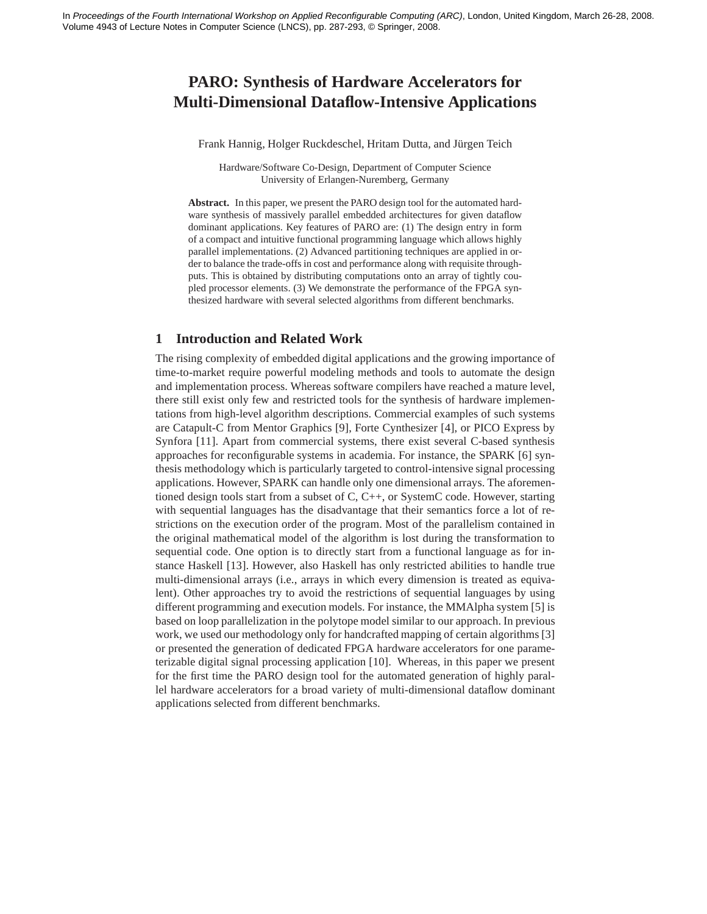# **PARO: Synthesis of Hardware Accelerators for Multi-Dimensional Dataflow-Intensive Applications**

Frank Hannig, Holger Ruckdeschel, Hritam Dutta, and Jürgen Teich

Hardware/Software Co-Design, Department of Computer Science University of Erlangen-Nuremberg, Germany

**Abstract.** In this paper, we present the PARO design tool for the automated hardware synthesis of massively parallel embedded architectures for given dataflow dominant applications. Key features of PARO are: (1) The design entry in form of a compact and intuitive functional programming language which allows highly parallel implementations. (2) Advanced partitioning techniques are applied in order to balance the trade-offs in cost and performance along with requisite throughputs. This is obtained by distributing computations onto an array of tightly coupled processor elements. (3) We demonstrate the performance of the FPGA synthesized hardware with several selected algorithms from different benchmarks.

## **1 Introduction and Related Work**

The rising complexity of embedded digital applications and the growing importance of time-to-market require powerful modeling methods and tools to automate the design and implementation process. Whereas software compilers have reached a mature level, there still exist only few and restricted tools for the synthesis of hardware implementations from high-level algorithm descriptions. Commercial examples of such systems are Catapult-C from Mentor Graphics [9], Forte Cynthesizer [4], or PICO Express by Synfora [11]. Apart from commercial systems, there exist several C-based synthesis approaches for reconfigurable systems in academia. For instance, the SPARK [6] synthesis methodology which is particularly targeted to control-intensive signal processing applications. However, SPARK can handle only one dimensional arrays. The aforementioned design tools start from a subset of C, C++, or SystemC code. However, starting with sequential languages has the disadvantage that their semantics force a lot of restrictions on the execution order of the program. Most of the parallelism contained in the original mathematical model of the algorithm is lost during the transformation to sequential code. One option is to directly start from a functional language as for instance Haskell [13]. However, also Haskell has only restricted abilities to handle true multi-dimensional arrays (i.e., arrays in which every dimension is treated as equivalent). Other approaches try to avoid the restrictions of sequential languages by using different programming and execution models. For instance, the MMAlpha system [5] is based on loop parallelization in the polytope model similar to our approach. In previous work, we used our methodology only for handcrafted mapping of certain algorithms [3] or presented the generation of dedicated FPGA hardware accelerators for one parameterizable digital signal processing application [10]. Whereas, in this paper we present for the first time the PARO design tool for the automated generation of highly parallel hardware accelerators for a broad variety of multi-dimensional dataflow dominant applications selected from different benchmarks.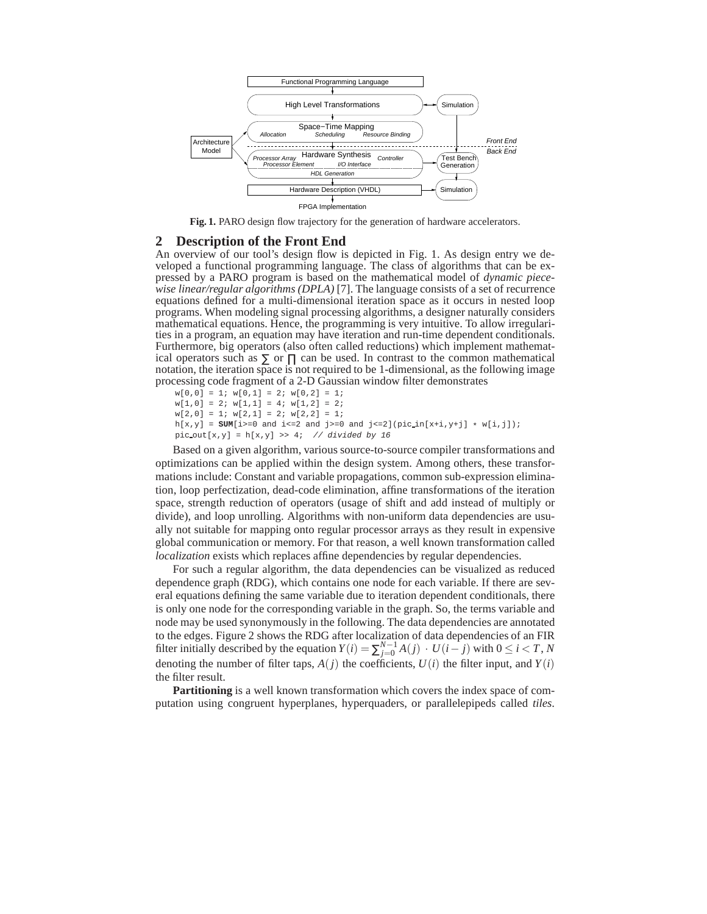

**Fig. 1.** PARO design flow trajectory for the generation of hardware accelerators.

#### **2 Description of the Front End**

An overview of our tool's design flow is depicted in Fig. 1. As design entry we developed a functional programming language. The class of algorithms that can be expressed by a PARO program is based on the mathematical model of *dynamic piecewise linear/regular algorithms (DPLA)* [7]. The language consists of a set of recurrence equations defined for a multi-dimensional iteration space as it occurs in nested loop programs. When modeling signal processing algorithms, a designer naturally considers mathematical equations. Hence, the programming is very intuitive. To allow irregularities in a program, an equation may have iteration and run-time dependent conditionals. Furthermore, big operators (also often called reductions) which implement mathematical operators such as  $\Sigma$  or  $\Pi$  can be used. In contrast to the common mathematical notation, the iteration space is not required to be 1-dimensional, as the following image processing code fragment of a 2-D Gaussian window filter demonstrates

```
w[0,0] = 1; w[0,1] = 2; w[0,2] = 1;w[1,0] = 2; w[1,1] = 4; w[1,2] = 2;w[2,0] = 1; w[2,1] = 2; w[2,2] = 1;h[x,y] = \text{SUM}[i>=0 \text{ and } i<=2 \text{ and } j>=0 \text{ and } j<=2] (pic\_in[x+i,y+j] * w[i,j]);pic\_out[x,y] = h[x,y] >> 4; // divided by 16
```
Based on a given algorithm, various source-to-source compiler transformations and optimizations can be applied within the design system. Among others, these transformations include: Constant and variable propagations, common sub-expression elimination, loop perfectization, dead-code elimination, affine transformations of the iteration space, strength reduction of operators (usage of shift and add instead of multiply or divide), and loop unrolling. Algorithms with non-uniform data dependencies are usually not suitable for mapping onto regular processor arrays as they result in expensive global communication or memory. For that reason, a well known transformation called *localization* exists which replaces affine dependencies by regular dependencies.

For such a regular algorithm, the data dependencies can be visualized as reduced dependence graph (RDG), which contains one node for each variable. If there are several equations defining the same variable due to iteration dependent conditionals, there is only one node for the corresponding variable in the graph. So, the terms variable and node may be used synonymously in the following. The data dependencies are annotated to the edges. Figure 2 shows the RDG after localization of data dependencies of an FIR filter initially described by the equation  $Y(i) = \sum_{j=0}^{N-1} A(j) \cdot U(i-j)$  with  $0 \le i < T$ , *N* denoting the number of filter taps,  $A(j)$  the coefficients,  $U(i)$  the filter input, and  $Y(i)$ the filter result.

**Partitioning** is a well known transformation which covers the index space of computation using congruent hyperplanes, hyperquaders, or parallelepipeds called *tiles*.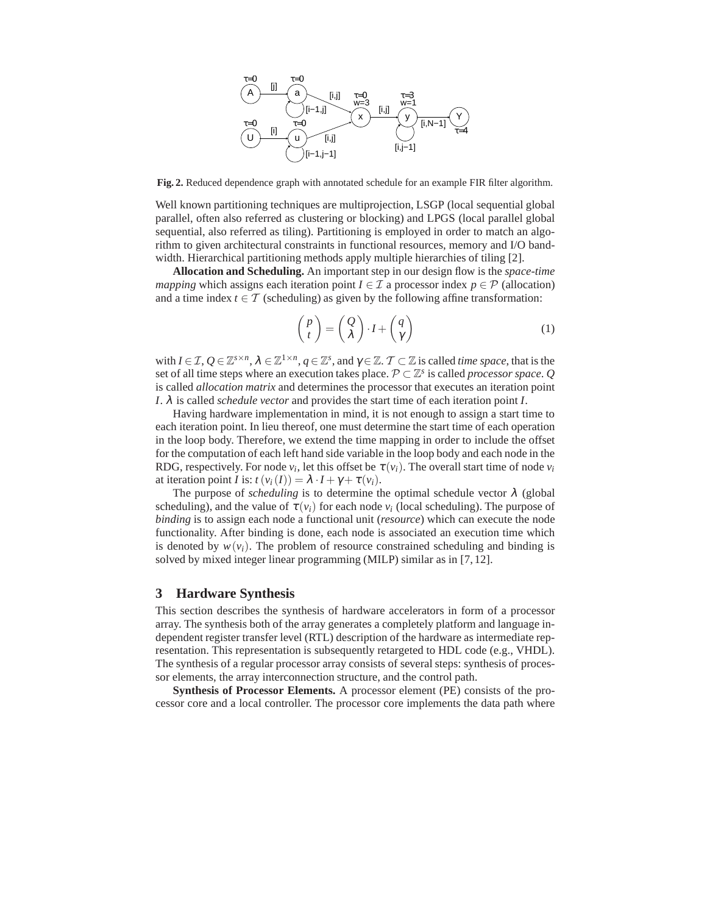

**Fig. 2.** Reduced dependence graph with annotated schedule for an example FIR filter algorithm.

Well known partitioning techniques are multiprojection, LSGP (local sequential global parallel, often also referred as clustering or blocking) and LPGS (local parallel global sequential, also referred as tiling). Partitioning is employed in order to match an algorithm to given architectural constraints in functional resources, memory and I/O bandwidth. Hierarchical partitioning methods apply multiple hierarchies of tiling [2].

**Allocation and Scheduling.** An important step in our design flow is the *space-time mapping* which assigns each iteration point  $I \in \mathcal{I}$  a processor index  $p \in \mathcal{P}$  (allocation) and a time index  $t \in \mathcal{T}$  (scheduling) as given by the following affine transformation:

$$
\begin{pmatrix} p \\ t \end{pmatrix} = \begin{pmatrix} Q \\ \lambda \end{pmatrix} \cdot I + \begin{pmatrix} q \\ \gamma \end{pmatrix} \tag{1}
$$

with  $I \in \mathcal{I}, Q \in \mathbb{Z}^{s \times n}$ ,  $\lambda \in \mathbb{Z}^{1 \times n}$ ,  $q \in \mathbb{Z}^s$ , and  $\gamma \in \mathbb{Z}$ .  $\mathcal{T} \subset \mathbb{Z}$  is called *time space*, that is the set of all time steps where an execution takes place.  $P \subset \mathbb{Z}^s$  is called *processor space*.  $Q$ is called *allocation matrix* and determines the processor that executes an iteration point *I*. λ is called *schedule vector* and provides the start time of each iteration point *I*.

Having hardware implementation in mind, it is not enough to assign a start time to each iteration point. In lieu thereof, one must determine the start time of each operation in the loop body. Therefore, we extend the time mapping in order to include the offset for the computation of each left hand side variable in the loop body and each node in the RDG, respectively. For node  $v_i$ , let this offset be  $\tau(v_i)$ . The overall start time of node  $v_i$ at iteration point *I* is:  $t(v_i(I)) = \lambda \cdot I + \gamma + \tau(v_i)$ .

The purpose of *scheduling* is to determine the optimal schedule vector  $\lambda$  (global scheduling), and the value of  $\tau(v_i)$  for each node  $v_i$  (local scheduling). The purpose of *binding* is to assign each node a functional unit (*resource*) which can execute the node functionality. After binding is done, each node is associated an execution time which is denoted by  $w(v_i)$ . The problem of resource constrained scheduling and binding is solved by mixed integer linear programming (MILP) similar as in [7, 12].

#### **3 Hardware Synthesis**

This section describes the synthesis of hardware accelerators in form of a processor array. The synthesis both of the array generates a completely platform and language independent register transfer level (RTL) description of the hardware as intermediate representation. This representation is subsequently retargeted to HDL code (e.g., VHDL). The synthesis of a regular processor array consists of several steps: synthesis of processor elements, the array interconnection structure, and the control path.

**Synthesis of Processor Elements.** A processor element (PE) consists of the processor core and a local controller. The processor core implements the data path where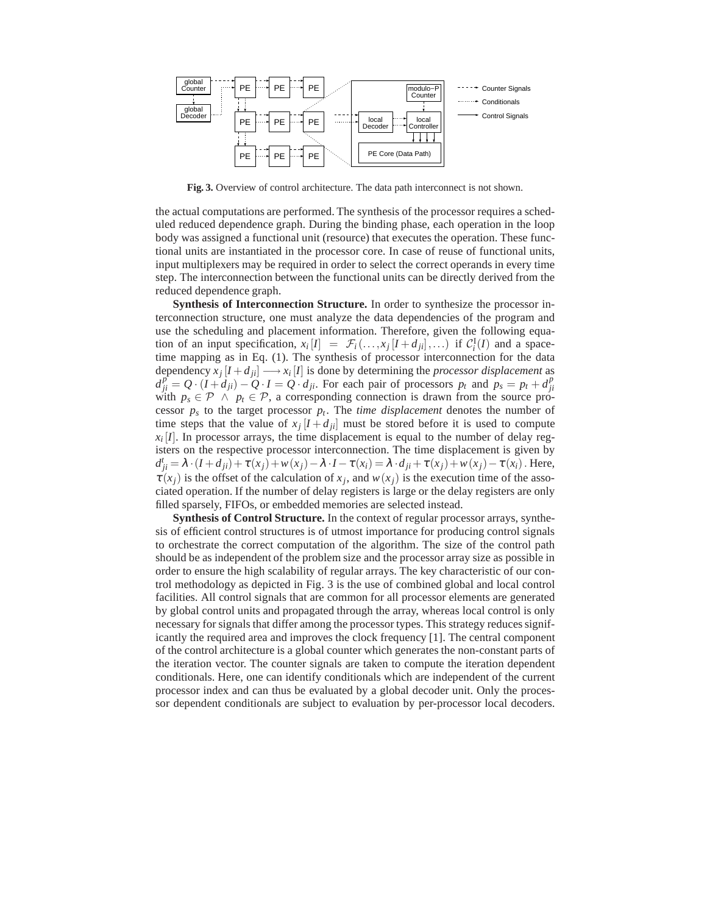

**Fig. 3.** Overview of control architecture. The data path interconnect is not shown.

the actual computations are performed. The synthesis of the processor requires a scheduled reduced dependence graph. During the binding phase, each operation in the loop body was assigned a functional unit (resource) that executes the operation. These functional units are instantiated in the processor core. In case of reuse of functional units, input multiplexers may be required in order to select the correct operands in every time step. The interconnection between the functional units can be directly derived from the reduced dependence graph.

**Synthesis of Interconnection Structure.** In order to synthesize the processor interconnection structure, one must analyze the data dependencies of the program and use the scheduling and placement information. Therefore, given the following equation of an input specification,  $x_i[I] = \mathcal{F}_i(\ldots, x_j[I + d_{ji}], \ldots)$  if  $\mathcal{C}_i^I(I)$  and a spacetime mapping as in Eq. (1). The synthesis of processor interconnection for the data dependency  $x_j$   $[I + d_{ji}] \longrightarrow x_i$   $[I]$  is done by determining the *processor displacement* as  $d_{ji}^{p} = Q \cdot (I + d_{ji}) - Q \cdot I = Q \cdot d_{ji}$ . For each pair of processors  $p_t$  and  $p_s = p_t + d_{ji}^{p}$ with  $p_s \in \mathcal{P} \land p_t \in \mathcal{P}$ , a corresponding connection is drawn from the source processor  $p_s$  to the target processor  $p_t$ . The *time displacement* denotes the number of time steps that the value of  $x_j$   $[I + d_{ji}]$  must be stored before it is used to compute  $x_i$  [*I*]. In processor arrays, the time displacement is equal to the number of delay registers on the respective processor interconnection. The time displacement is given by  $d_{ji}^t = \lambda \cdot (I + d_{ji}) + \tau(x_j) + w(x_j) - \lambda \cdot I - \tau(x_i) = \lambda \cdot d_{ji} + \tau(x_j) + w(x_j) - \tau(x_i)$ . Here,  $\tau(x_j)$  is the offset of the calculation of  $x_j$ , and  $w(x_j)$  is the execution time of the associated operation. If the number of delay registers is large or the delay registers are only filled sparsely, FIFOs, or embedded memories are selected instead.

**Synthesis of Control Structure.** In the context of regular processor arrays, synthesis of efficient control structures is of utmost importance for producing control signals to orchestrate the correct computation of the algorithm. The size of the control path should be as independent of the problem size and the processor array size as possible in order to ensure the high scalability of regular arrays. The key characteristic of our control methodology as depicted in Fig. 3 is the use of combined global and local control facilities. All control signals that are common for all processor elements are generated by global control units and propagated through the array, whereas local control is only necessary for signals that differ among the processor types. This strategy reduces significantly the required area and improves the clock frequency [1]. The central component of the control architecture is a global counter which generates the non-constant parts of the iteration vector. The counter signals are taken to compute the iteration dependent conditionals. Here, one can identify conditionals which are independent of the current processor index and can thus be evaluated by a global decoder unit. Only the processor dependent conditionals are subject to evaluation by per-processor local decoders.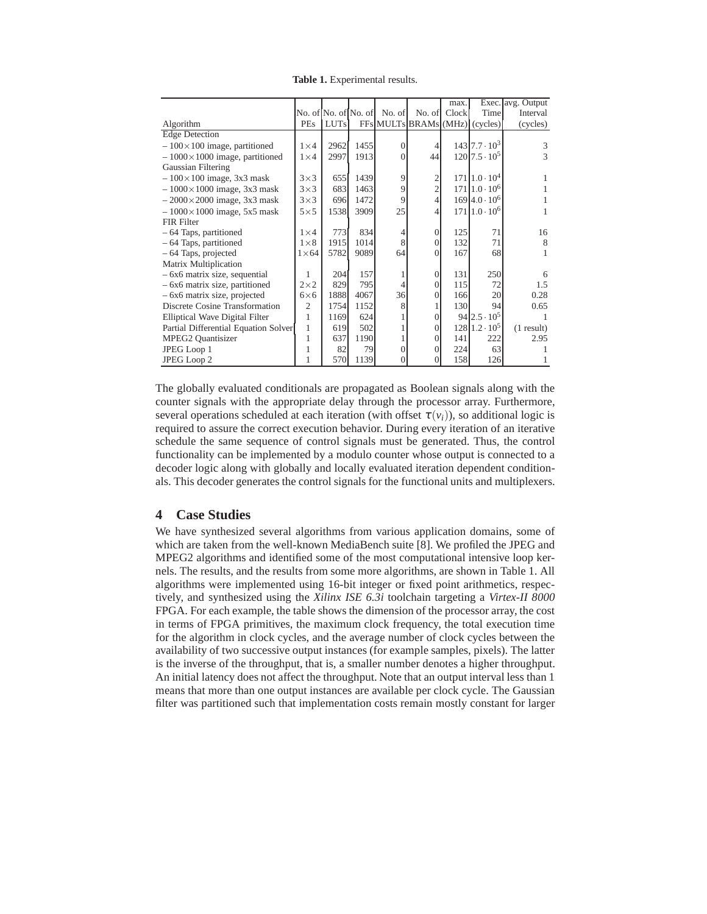| Table 1. Experimental results. |  |
|--------------------------------|--|
|--------------------------------|--|

|                                      |                |                      |      |                |                                | max.  |                                    | Exec. avg. Output |
|--------------------------------------|----------------|----------------------|------|----------------|--------------------------------|-------|------------------------------------|-------------------|
|                                      |                | No. of No. of No. of |      | No. of         | No. of                         | Clock | Time                               | Interval          |
| Algorithm                            | <b>PEs</b>     | <b>LUTs</b>          |      |                | FFs MULTs BRAMs (MHz) (cycles) |       |                                    | (cycles)          |
| <b>Edge</b> Detection                |                |                      |      |                |                                |       |                                    |                   |
| $-100\times100$ image, partitioned   | $1\times4$     | 2962                 | 1455 | $\Omega$       | 4                              |       | $143 \mid 7.7 \cdot 10^3$          | 3                 |
| $-1000\times1000$ image, partitioned | $1\times4$     | 2997                 | 1913 | $\overline{0}$ | 44                             |       | $120$  7.5 $\cdot$ 10 <sup>5</sup> | 3                 |
| Gaussian Filtering                   |                |                      |      |                |                                |       |                                    |                   |
| $-100\times100$ image, 3x3 mask      | $3\times3$     | 655                  | 1439 | 9              | 2                              |       | $171 1.0 \cdot 10^4$               |                   |
| $-1000\times1000$ image, 3x3 mask    | $3\times3$     | 683                  | 1463 | 9              | $\overline{2}$                 |       | $171 1.0 \cdot 10^6$               |                   |
| $-2000\times2000$ image, 3x3 mask    | $3\times3$     | 696                  | 1472 | 9              | 4                              |       | $169$ 4.0 $\cdot$ 10 <sup>6</sup>  |                   |
| $-1000\times1000$ image, 5x5 mask    | $5\times5$     | 1538                 | 3909 | 25             | 4                              |       | $171 1.0 \cdot 10^6$               |                   |
| FIR Filter                           |                |                      |      |                |                                |       |                                    |                   |
| - 64 Taps, partitioned               | $1\times4$     | 773                  | 834  | 4              | 0                              | 125   | 71                                 | 16                |
| - 64 Taps, partitioned               | $1\times 8$    | 1915                 | 1014 | 8              | 0                              | 132   | 71                                 | 8                 |
| - 64 Taps, projected                 | $1\times 64$   | 5782                 | 9089 | 64             | 0                              | 167   | 68                                 |                   |
| Matrix Multiplication                |                |                      |      |                |                                |       |                                    |                   |
| $-6x6$ matrix size, sequential       | 1              | 204                  | 157  |                | $\Omega$                       | 131   | 250                                | 6                 |
| - 6x6 matrix size, partitioned       | $2\times2$     | 829                  | 795  | $\overline{4}$ | $\Omega$                       | 115   | 72                                 | 1.5               |
| - 6x6 matrix size, projected         | $6\times 6$    | 1888                 | 4067 | 36             | $\Omega$                       | 166   | 20                                 | 0.28              |
| Discrete Cosine Transformation       | $\overline{2}$ | 1754                 | 1152 | 8              |                                | 130   | 94                                 | 0.65              |
| Elliptical Wave Digital Filter       | 1              | 1169                 | 624  |                | $\Omega$                       |       | $94 \,   2.5 \cdot 10^5$           |                   |
| Partial Differential Equation Solver | $\mathbf{1}$   | 619                  | 502  |                | 0                              |       | $128 \mid 1.2 \cdot 10^5$          | (1 result)        |
| <b>MPEG2 Quantisizer</b>             | 1              | 637                  | 1190 |                | $\Omega$                       | 141   | 222                                | 2.95              |
| JPEG Loop 1                          | 1              | 82                   | 79   | $\overline{0}$ | 0                              | 224   | 63                                 |                   |
| JPEG Loop 2                          | 1              | 570                  | 1139 | $\Omega$       | 0                              | 158   | 126                                |                   |

The globally evaluated conditionals are propagated as Boolean signals along with the counter signals with the appropriate delay through the processor array. Furthermore, several operations scheduled at each iteration (with offset  $\tau(v_i)$ ), so additional logic is required to assure the correct execution behavior. During every iteration of an iterative schedule the same sequence of control signals must be generated. Thus, the control functionality can be implemented by a modulo counter whose output is connected to a decoder logic along with globally and locally evaluated iteration dependent conditionals. This decoder generates the control signals for the functional units and multiplexers.

### **4 Case Studies**

We have synthesized several algorithms from various application domains, some of which are taken from the well-known MediaBench suite [8]. We profiled the JPEG and MPEG2 algorithms and identified some of the most computational intensive loop kernels. The results, and the results from some more algorithms, are shown in Table 1. All algorithms were implemented using 16-bit integer or fixed point arithmetics, respectively, and synthesized using the *Xilinx ISE 6.3i* toolchain targeting a *Virtex-II 8000* FPGA. For each example, the table shows the dimension of the processor array, the cost in terms of FPGA primitives, the maximum clock frequency, the total execution time for the algorithm in clock cycles, and the average number of clock cycles between the availability of two successive output instances (for example samples, pixels). The latter is the inverse of the throughput, that is, a smaller number denotes a higher throughput. An initial latency does not affect the throughput. Note that an output interval less than 1 means that more than one output instances are available per clock cycle. The Gaussian filter was partitioned such that implementation costs remain mostly constant for larger